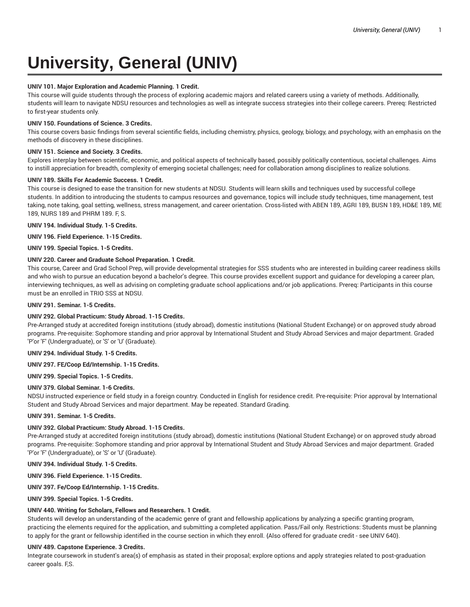# **University, General (UNIV)**

## **UNIV 101. Major Exploration and Academic Planning. 1 Credit.**

This course will guide students through the process of exploring academic majors and related careers using a variety of methods. Additionally, students will learn to navigate NDSU resources and technologies as well as integrate success strategies into their college careers. Prereq: Restricted to first-year students only.

## **UNIV 150. Foundations of Science. 3 Credits.**

This course covers basic findings from several scientific fields, including chemistry, physics, geology, biology, and psychology, with an emphasis on the methods of discovery in these disciplines.

## **UNIV 151. Science and Society. 3 Credits.**

Explores interplay between scientific, economic, and political aspects of technically based, possibly politically contentious, societal challenges. Aims to instill appreciation for breadth, complexity of emerging societal challenges; need for collaboration among disciplines to realize solutions.

## **UNIV 189. Skills For Academic Success. 1 Credit.**

This course is designed to ease the transition for new students at NDSU. Students will learn skills and techniques used by successful college students. In addition to introducing the students to campus resources and governance, topics will include study techniques, time management, test taking, note taking, goal setting, wellness, stress management, and career orientation. Cross-listed with ABEN 189, AGRI 189, BUSN 189, HD&E 189, ME 189, NURS 189 and PHRM 189. F, S.

#### **UNIV 194. Individual Study. 1-5 Credits.**

**UNIV 196. Field Experience. 1-15 Credits.**

**UNIV 199. Special Topics. 1-5 Credits.**

## **UNIV 220. Career and Graduate School Preparation. 1 Credit.**

This course, Career and Grad School Prep, will provide developmental strategies for SSS students who are interested in building career readiness skills and who wish to pursue an education beyond a bachelor's degree. This course provides excellent support and guidance for developing a career plan, interviewing techniques, as well as advising on completing graduate school applications and/or job applications. Prereq: Participants in this course must be an enrolled in TRIO SSS at NDSU.

## **UNIV 291. Seminar. 1-5 Credits.**

# **UNIV 292. Global Practicum: Study Abroad. 1-15 Credits.**

Pre-Arranged study at accredited foreign institutions (study abroad), domestic institutions (National Student Exchange) or on approved study abroad programs. Pre-requisite: Sophomore standing and prior approval by International Student and Study Abroad Services and major department. Graded 'P'or 'F' (Undergraduate), or 'S' or 'U' (Graduate).

# **UNIV 294. Individual Study. 1-5 Credits.**

#### **UNIV 297. FE/Coop Ed/Internship. 1-15 Credits.**

**UNIV 299. Special Topics. 1-5 Credits.**

#### **UNIV 379. Global Seminar. 1-6 Credits.**

NDSU instructed experience or field study in a foreign country. Conducted in English for residence credit. Pre-requisite: Prior approval by International Student and Study Abroad Services and major department. May be repeated. Standard Grading.

#### **UNIV 391. Seminar. 1-5 Credits.**

# **UNIV 392. Global Practicum: Study Abroad. 1-15 Credits.**

Pre-Arranged study at accredited foreign institutions (study abroad), domestic institutions (National Student Exchange) or on approved study abroad programs. Pre-requisite: Sophomore standing and prior approval by International Student and Study Abroad Services and major department. Graded 'P'or 'F' (Undergraduate), or 'S' or 'U' (Graduate).

**UNIV 394. Individual Study. 1-5 Credits.**

**UNIV 396. Field Experience. 1-15 Credits.**

**UNIV 397. Fe/Coop Ed/Internship. 1-15 Credits.**

**UNIV 399. Special Topics. 1-5 Credits.**

## **UNIV 440. Writing for Scholars, Fellows and Researchers. 1 Credit.**

Students will develop an understanding of the academic genre of grant and fellowship applications by analyzing a specific granting program, practicing the elements required for the application, and submitting a completed application. Pass/Fail only. Restrictions: Students must be planning to apply for the grant or fellowship identified in the course section in which they enroll. {Also offered for graduate credit - see UNIV 640}.

#### **UNIV 489. Capstone Experience. 3 Credits.**

Integrate coursework in student's area(s) of emphasis as stated in their proposal; explore options and apply strategies related to post-graduation career goals. F,S.